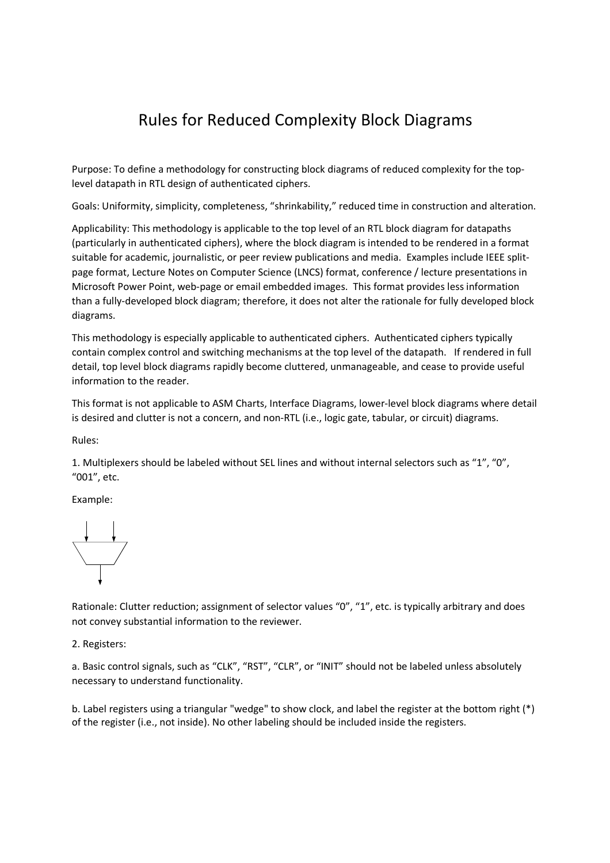## Rules for Reduced Complexity Block Diagrams

Purpose: To define a methodology for constructing block diagrams of reduced complexity for the toplevel datapath in RTL design of authenticated ciphers.

Goals: Uniformity, simplicity, completeness, "shrinkability," reduced time in construction and alteration.

Applicability: This methodology is applicable to the top level of an RTL block diagram for datapaths (particularly in authenticated ciphers), where the block diagram is intended to be rendered in a format suitable for academic, journalistic, or peer review publications and media. Examples include IEEE splitpage format, Lecture Notes on Computer Science (LNCS) format, conference / lecture presentations in Microsoft Power Point, web-page or email embedded images. This format provides less information than a fully-developed block diagram; therefore, it does not alter the rationale for fully developed block diagrams.

This methodology is especially applicable to authenticated ciphers. Authenticated ciphers typically contain complex control and switching mechanisms at the top level of the datapath. If rendered in full detail, top level block diagrams rapidly become cluttered, unmanageable, and cease to provide useful information to the reader.

This format is not applicable to ASM Charts, Interface Diagrams, lower-level block diagrams where detail is desired and clutter is not a concern, and non-RTL (i.e., logic gate, tabular, or circuit) diagrams.

Rules:

1. Multiplexers should be labeled without SEL lines and without internal selectors such as "1", "0", "001", etc.

Example:



Rationale: Clutter reduction; assignment of selector values "0", "1", etc. is typically arbitrary and does not convey substantial information to the reviewer.

2. Registers:

a. Basic control signals, such as "CLK", "RST", "CLR", or "INIT" should not be labeled unless absolutely necessary to understand functionality.

b. Label registers using a triangular "wedge" to show clock, and label the register at the bottom right (\*) of the register (i.e., not inside). No other labeling should be included inside the registers.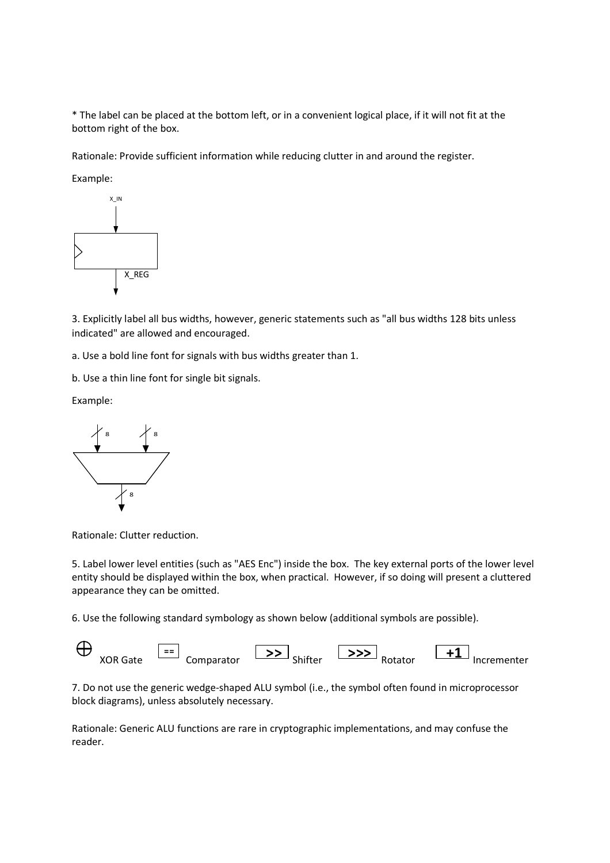\* The label can be placed at the bottom left, or in a convenient logical place, if it will not fit at the bottom right of the box.

Rationale: Provide sufficient information while reducing clutter in and around the register.

Example:



3. Explicitly label all bus widths, however, generic statements such as "all bus widths 128 bits unless indicated" are allowed and encouraged.

a. Use a bold line font for signals with bus widths greater than 1.

b. Use a thin line font for single bit signals.

Example:



Rationale: Clutter reduction.

5. Label lower level entities (such as "AES Enc") inside the box. The key external ports of the lower level entity should be displayed within the box, when practical. However, if so doing will present a cluttered appearance they can be omitted.

6. Use the following standard symbology as shown below (additional symbols are possible).



7. Do not use the generic wedge-shaped ALU symbol (i.e., the symbol often found in microprocessor block diagrams), unless absolutely necessary.

Rationale: Generic ALU functions are rare in cryptographic implementations, and may confuse the reader.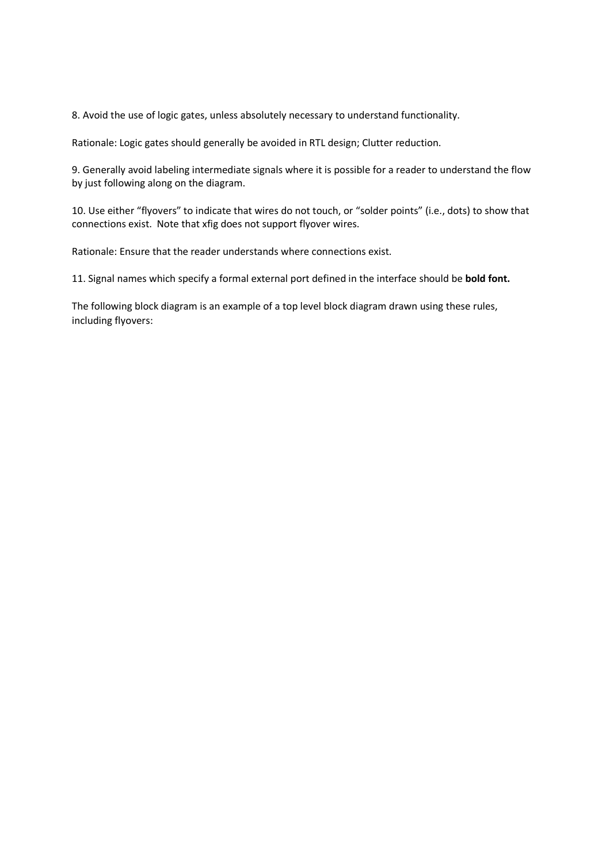8. Avoid the use of logic gates, unless absolutely necessary to understand functionality.

Rationale: Logic gates should generally be avoided in RTL design; Clutter reduction.

9. Generally avoid labeling intermediate signals where it is possible for a reader to understand the flow by just following along on the diagram.

10. Use either "flyovers" to indicate that wires do not touch, or "solder points" (i.e., dots) to show that connections exist. Note that xfig does not support flyover wires.

Rationale: Ensure that the reader understands where connections exist.

11. Signal names which specify a formal external port defined in the interface should be **bold font.**

The following block diagram is an example of a top level block diagram drawn using these rules, including flyovers: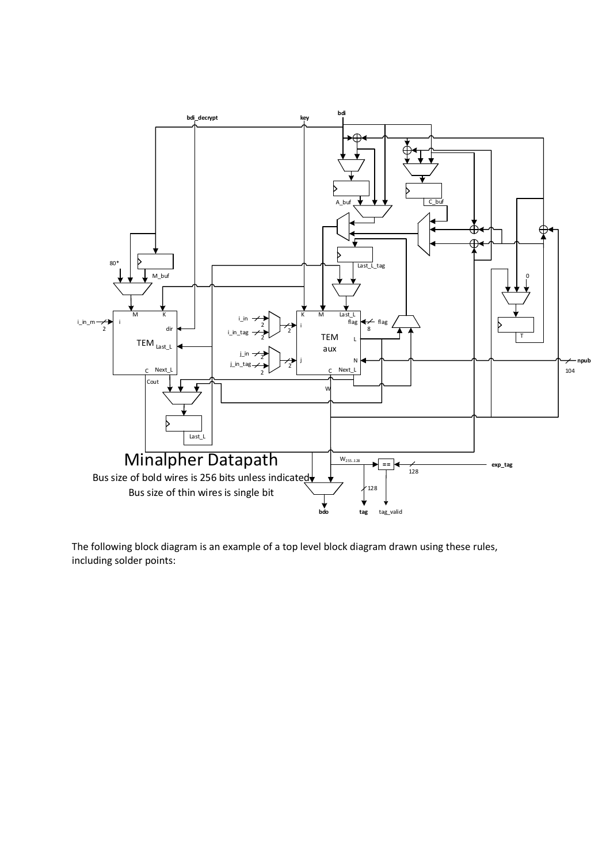

The following block diagram is an example of a top level block diagram drawn using these rules, including solder points: